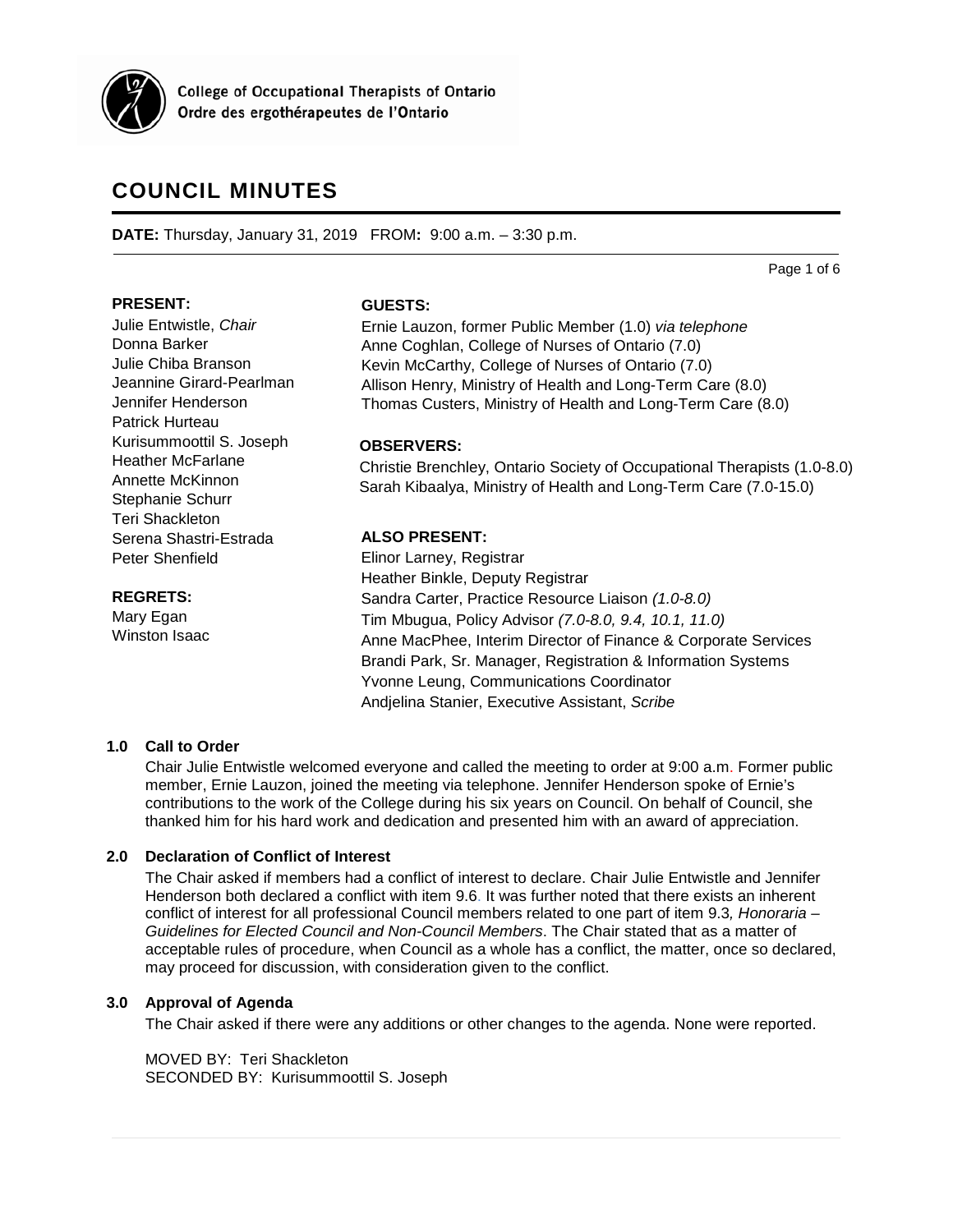

**College of Occupational Therapists of Ontario** Ordre des ergothérapeutes de l'Ontario

# **COUNCIL MINUTES**

**DATE:** Thursday, January 31, 2019 FROM**:** 9:00 a.m. – 3:30 p.m.

Page 1 of 6

# **PRESENT:**

Julie Entwistle, *Chair* Donna Barker Julie Chiba Branson Jeannine Girard-Pearlman Jennifer Henderson Patrick Hurteau Kurisummoottil S. Joseph Heather McFarlane Annette McKinnon Stephanie Schurr Teri Shackleton Serena Shastri-Estrada Peter Shenfield

#### **REGRETS:**

Mary Egan Winston Isaac

## **GUESTS:**

Ernie Lauzon, former Public Member (1.0) *via telephone* Anne Coghlan, College of Nurses of Ontario (7.0) Kevin McCarthy, College of Nurses of Ontario (7.0) Allison Henry, Ministry of Health and Long-Term Care (8.0) Thomas Custers, Ministry of Health and Long-Term Care (8.0)

# **OBSERVERS:**

Christie Brenchley, Ontario Society of Occupational Therapists (1.0-8.0) Sarah Kibaalya, Ministry of Health and Long-Term Care (7.0-15.0)

# **ALSO PRESENT:**

Elinor Larney, Registrar Heather Binkle, Deputy Registrar Sandra Carter, Practice Resource Liaison *(1.0-8.0)*  Tim Mbugua, Policy Advisor *(7.0-8.0, 9.4, 10.1, 11.0)* Anne MacPhee, Interim Director of Finance & Corporate Services Brandi Park, Sr. Manager, Registration & Information Systems Yvonne Leung, Communications Coordinator Andjelina Stanier, Executive Assistant, *Scribe*

# **1.0 Call to Order**

Chair Julie Entwistle welcomed everyone and called the meeting to order at 9:00 a.m. Former public member, Ernie Lauzon, joined the meeting via telephone. Jennifer Henderson spoke of Ernie's contributions to the work of the College during his six years on Council. On behalf of Council, she thanked him for his hard work and dedication and presented him with an award of appreciation.

# **2.0 Declaration of Conflict of Interest**

The Chair asked if members had a conflict of interest to declare. Chair Julie Entwistle and Jennifer Henderson both declared a conflict with item 9.6. It was further noted that there exists an inherent conflict of interest for all professional Council members related to one part of item 9.3*, Honoraria – Guidelines for Elected Council and Non-Council Members*. The Chair stated that as a matter of acceptable rules of procedure, when Council as a whole has a conflict, the matter, once so declared, may proceed for discussion, with consideration given to the conflict.

# **3.0 Approval of Agenda**

The Chair asked if there were any additions or other changes to the agenda. None were reported.

MOVED BY: Teri Shackleton SECONDED BY: Kurisummoottil S. Joseph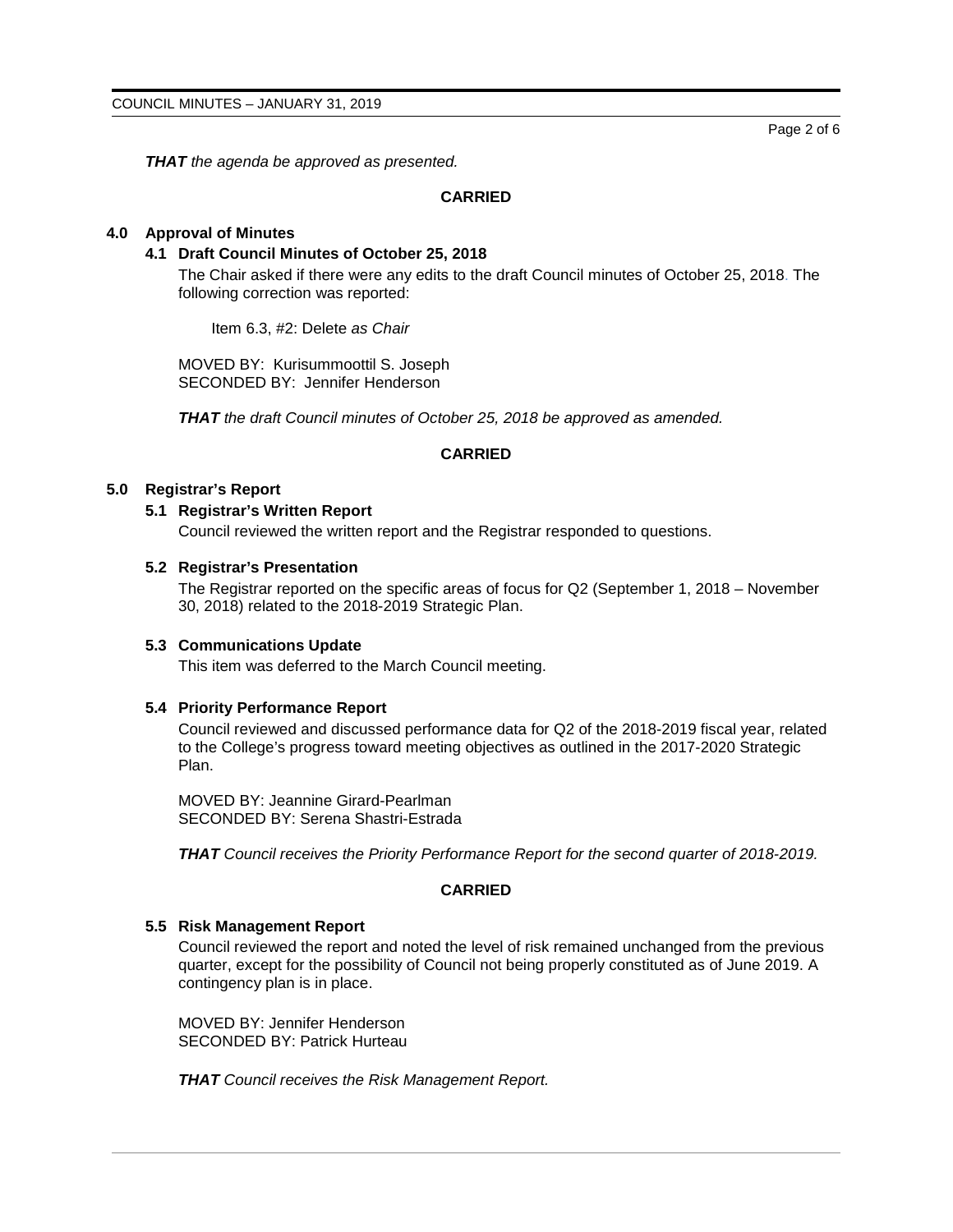Page 2 of 6

*THAT the agenda be approved as presented.*

# **CARRIED**

# **4.0 Approval of Minutes**

#### **4.1 Draft Council Minutes of October 25, 2018**

The Chair asked if there were any edits to the draft Council minutes of October 25, 2018. The following correction was reported:

Item 6.3, #2: Delete *as Chair*

MOVED BY: Kurisummoottil S. Joseph SECONDED BY: Jennifer Henderson

*THAT the draft Council minutes of October 25, 2018 be approved as amended.* 

# **CARRIED**

#### **5.0 Registrar's Report**

## **5.1 Registrar's Written Report**

Council reviewed the written report and the Registrar responded to questions.

#### **5.2 Registrar's Presentation**

The Registrar reported on the specific areas of focus for Q2 (September 1, 2018 – November 30, 2018) related to the 2018-2019 Strategic Plan.

## **5.3 Communications Update**

This item was deferred to the March Council meeting.

## **5.4 Priority Performance Report**

Council reviewed and discussed performance data for Q2 of the 2018-2019 fiscal year, related to the College's progress toward meeting objectives as outlined in the 2017-2020 Strategic Plan.

MOVED BY: Jeannine Girard-Pearlman SECONDED BY: Serena Shastri-Estrada

*THAT Council receives the Priority Performance Report for the second quarter of 2018-2019.*

# **CARRIED**

#### **5.5 Risk Management Report**

Council reviewed the report and noted the level of risk remained unchanged from the previous quarter, except for the possibility of Council not being properly constituted as of June 2019. A contingency plan is in place.

MOVED BY: Jennifer Henderson SECONDED BY: Patrick Hurteau

*THAT Council receives the Risk Management Report.*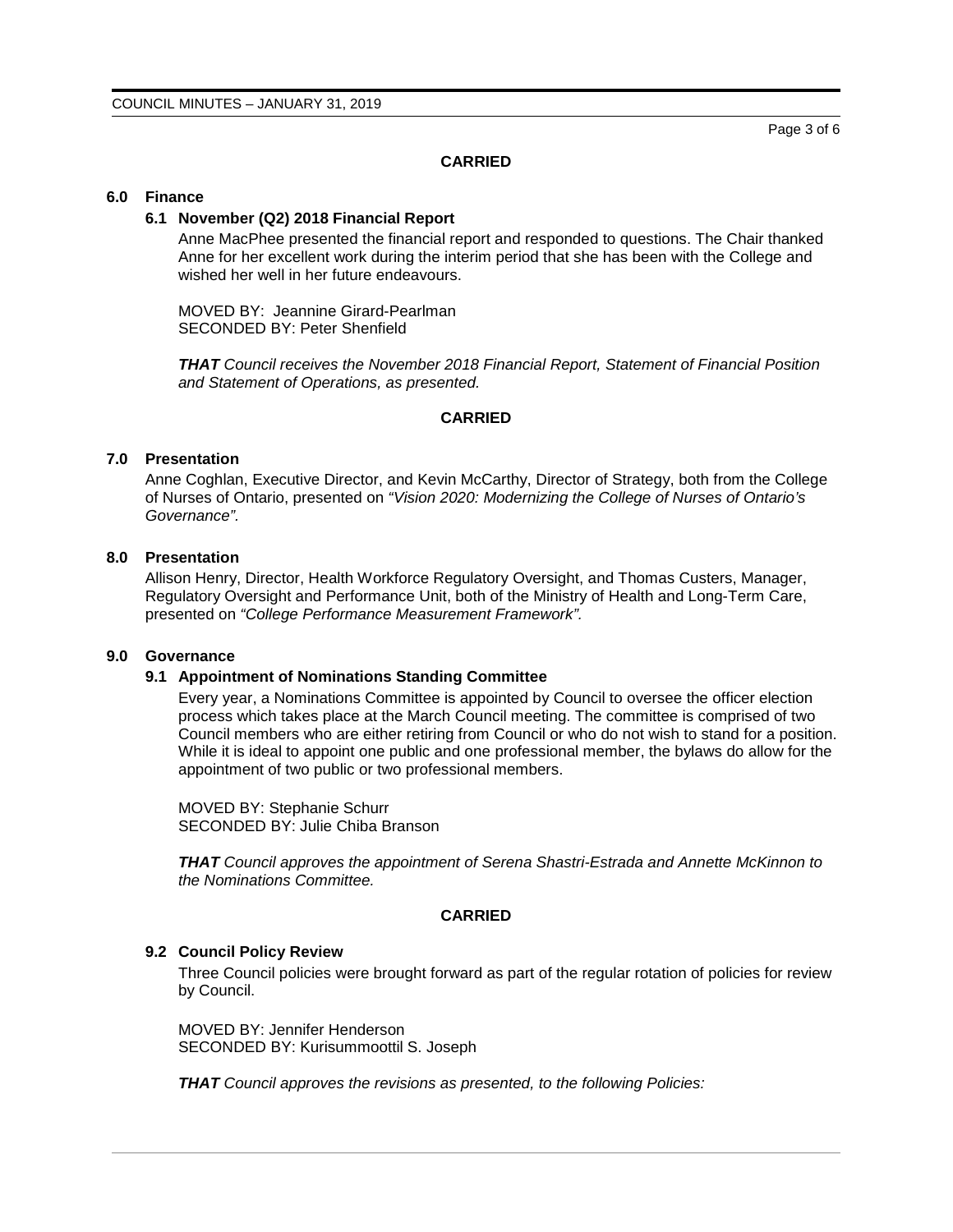Page 3 of 6

## **CARRIED**

#### **6.0 Finance**

#### **6.1 November (Q2) 2018 Financial Report**

Anne MacPhee presented the financial report and responded to questions. The Chair thanked Anne for her excellent work during the interim period that she has been with the College and wished her well in her future endeavours.

MOVED BY: Jeannine Girard-Pearlman SECONDED BY: Peter Shenfield

*THAT Council receives the November 2018 Financial Report, Statement of Financial Position and Statement of Operations, as presented.*

#### **CARRIED**

#### **7.0 Presentation**

Anne Coghlan, Executive Director, and Kevin McCarthy, Director of Strategy, both from the College of Nurses of Ontario, presented on *"Vision 2020: Modernizing the College of Nurses of Ontario's Governance".*

# **8.0 Presentation**

Allison Henry, Director, Health Workforce Regulatory Oversight, and Thomas Custers, Manager, Regulatory Oversight and Performance Unit, both of the Ministry of Health and Long-Term Care, presented on *"College Performance Measurement Framework".*

#### **9.0 Governance**

#### **9.1 Appointment of Nominations Standing Committee**

Every year, a Nominations Committee is appointed by Council to oversee the officer election process which takes place at the March Council meeting. The committee is comprised of two Council members who are either retiring from Council or who do not wish to stand for a position. While it is ideal to appoint one public and one professional member, the bylaws do allow for the appointment of two public or two professional members.

MOVED BY: Stephanie Schurr SECONDED BY: Julie Chiba Branson

*THAT Council approves the appointment of Serena Shastri-Estrada and Annette McKinnon to the Nominations Committee.*

## **CARRIED**

#### **9.2 Council Policy Review**

Three Council policies were brought forward as part of the regular rotation of policies for review by Council.

MOVED BY: Jennifer Henderson SECONDED BY: Kurisummoottil S. Joseph

*THAT Council approves the revisions as presented, to the following Policies:*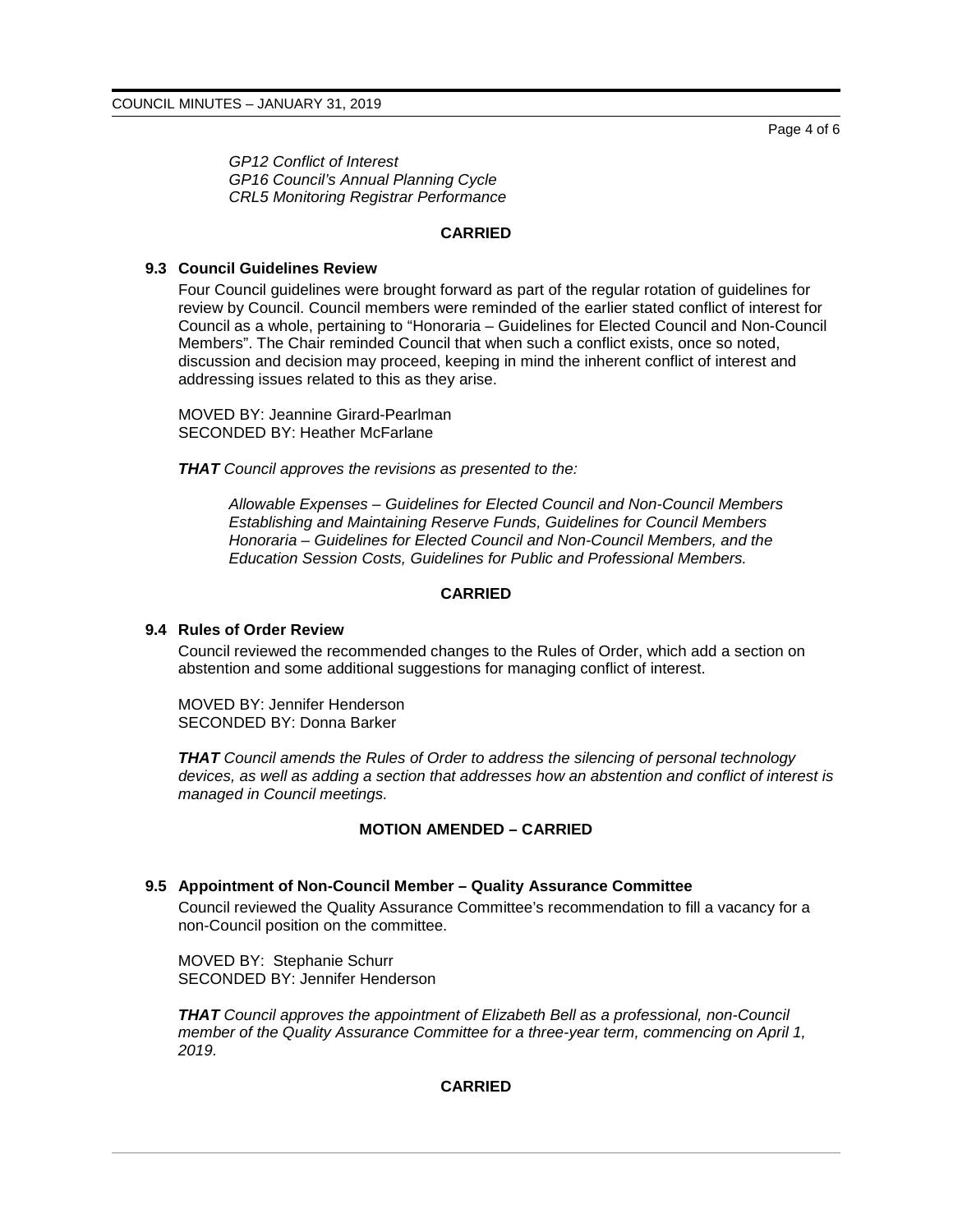Page 4 of 6

*GP12 Conflict of Interest GP16 Council's Annual Planning Cycle CRL5 Monitoring Registrar Performance*

# **CARRIED**

## **9.3 Council Guidelines Review**

Four Council guidelines were brought forward as part of the regular rotation of guidelines for review by Council. Council members were reminded of the earlier stated conflict of interest for Council as a whole, pertaining to "Honoraria – Guidelines for Elected Council and Non-Council Members". The Chair reminded Council that when such a conflict exists, once so noted, discussion and decision may proceed, keeping in mind the inherent conflict of interest and addressing issues related to this as they arise.

MOVED BY: Jeannine Girard-Pearlman SECONDED BY: Heather McFarlane

*THAT Council approves the revisions as presented to the:*

*Allowable Expenses – Guidelines for Elected Council and Non-Council Members Establishing and Maintaining Reserve Funds, Guidelines for Council Members Honoraria – Guidelines for Elected Council and Non-Council Members, and the Education Session Costs, Guidelines for Public and Professional Members.*

## **CARRIED**

#### **9.4 Rules of Order Review**

Council reviewed the recommended changes to the Rules of Order, which add a section on abstention and some additional suggestions for managing conflict of interest.

MOVED BY: Jennifer Henderson SECONDED BY: Donna Barker

*THAT Council amends the Rules of Order to address the silencing of personal technology devices, as well as adding a section that addresses how an abstention and conflict of interest is managed in Council meetings.* 

#### **MOTION AMENDED – CARRIED**

#### **9.5 Appointment of Non-Council Member – Quality Assurance Committee**

Council reviewed the Quality Assurance Committee's recommendation to fill a vacancy for a non-Council position on the committee.

MOVED BY: Stephanie Schurr SECONDED BY: Jennifer Henderson

*THAT Council approves the appointment of Elizabeth Bell as a professional, non-Council member of the Quality Assurance Committee for a three-year term, commencing on April 1, 2019.*

# **CARRIED**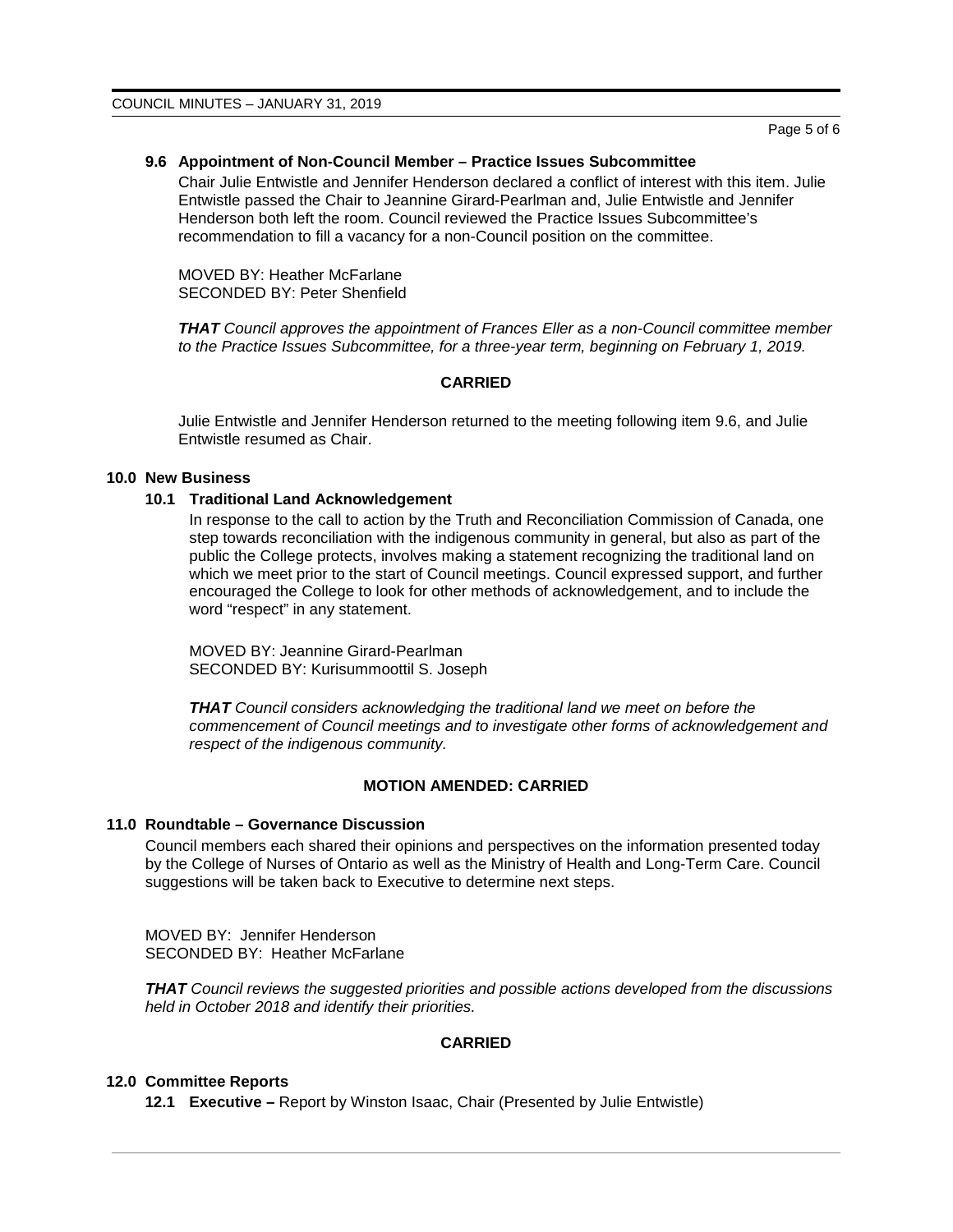#### **9.6 Appointment of Non-Council Member – Practice Issues Subcommittee**

Chair Julie Entwistle and Jennifer Henderson declared a conflict of interest with this item. Julie Entwistle passed the Chair to Jeannine Girard-Pearlman and, Julie Entwistle and Jennifer Henderson both left the room. Council reviewed the Practice Issues Subcommittee's recommendation to fill a vacancy for a non-Council position on the committee.

MOVED BY: Heather McFarlane SECONDED BY: Peter Shenfield

*THAT Council approves the appointment of Frances Eller as a non-Council committee member to the Practice Issues Subcommittee, for a three-year term, beginning on February 1, 2019.*

# **CARRIED**

Julie Entwistle and Jennifer Henderson returned to the meeting following item 9.6, and Julie Entwistle resumed as Chair.

#### **10.0 New Business**

#### **10.1 Traditional Land Acknowledgement**

In response to the call to action by the Truth and Reconciliation Commission of Canada, one step towards reconciliation with the indigenous community in general, but also as part of the public the College protects, involves making a statement recognizing the traditional land on which we meet prior to the start of Council meetings. Council expressed support, and further encouraged the College to look for other methods of acknowledgement, and to include the word "respect" in any statement.

MOVED BY: Jeannine Girard-Pearlman SECONDED BY: Kurisummoottil S. Joseph

*THAT Council considers acknowledging the traditional land we meet on before the commencement of Council meetings and to investigate other forms of acknowledgement and respect of the indigenous community.*

#### **MOTION AMENDED: CARRIED**

#### **11.0 Roundtable – Governance Discussion**

Council members each shared their opinions and perspectives on the information presented today by the College of Nurses of Ontario as well as the Ministry of Health and Long-Term Care. Council suggestions will be taken back to Executive to determine next steps.

MOVED BY: Jennifer Henderson SECONDED BY: Heather McFarlane

*THAT Council reviews the suggested priorities and possible actions developed from the discussions held in October 2018 and identify their priorities.*

#### **CARRIED**

#### **12.0 Committee Reports**

**12.1 Executive –** Report by Winston Isaac, Chair (Presented by Julie Entwistle)